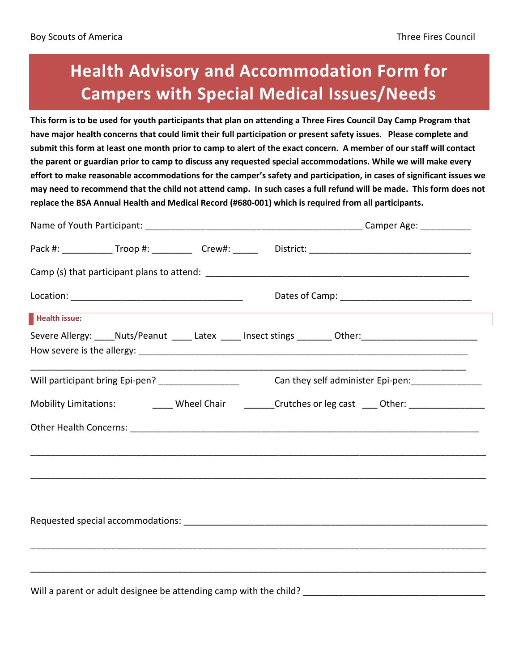## **Health Advisory and Accommodation Form for Campers with Special Medical Issues/Needs**

**This form is to be used for youth participants that plan on attending a Three Fires Council Day Camp Program that have major health concerns that could limit their full participation or present safety issues. Please complete and submit this form at least one month prior to camp to alert of the exact concern. A member of our staff will contact the parent or guardian prior to camp to discuss any requested special accommodations. While we will make every effort to make reasonable accommodations for the camper's safety and participation, in cases of significant issues we may need to recommend that the child not attend camp. In such cases a full refund will be made. This form does not replace the BSA Annual Health and Medical Record (#680-001) which is required from all participants.** 

| Health issue:                                                                                              |                                                                     |  |                                                    | ,我们也不能在这里的时候,我们也不能在这里的时候,我们也不能不能不能不能不能不能不能不能不能不能不能不能不能不能。<br>第2012章 我们的时候,我们的时候,我们的时候,我们的时候,我们的时候,我们的时候,我们的时候,我们的时候,我们的时候,我们的时候,我们的时候,我们的时候,我 |  |
|------------------------------------------------------------------------------------------------------------|---------------------------------------------------------------------|--|----------------------------------------------------|-----------------------------------------------------------------------------------------------------------------------------------------------|--|
|                                                                                                            |                                                                     |  |                                                    | Severe Allergy: _____Nuts/Peanut _______Latex ______ Insect stings _________ Other: _________________________                                 |  |
| Will participant bring Epi-pen? ____________________                                                       |                                                                     |  | Can they self administer Epi-pen: ________________ |                                                                                                                                               |  |
| Mobility Limitations: ___________Wheel Chair _________Crutches or leg cast _____Other: ___________________ |                                                                     |  |                                                    |                                                                                                                                               |  |
|                                                                                                            |                                                                     |  |                                                    |                                                                                                                                               |  |
|                                                                                                            |                                                                     |  |                                                    |                                                                                                                                               |  |
|                                                                                                            |                                                                     |  |                                                    |                                                                                                                                               |  |
|                                                                                                            |                                                                     |  |                                                    |                                                                                                                                               |  |
|                                                                                                            | Will a parent or adult designee be attending camp with the child? _ |  |                                                    |                                                                                                                                               |  |